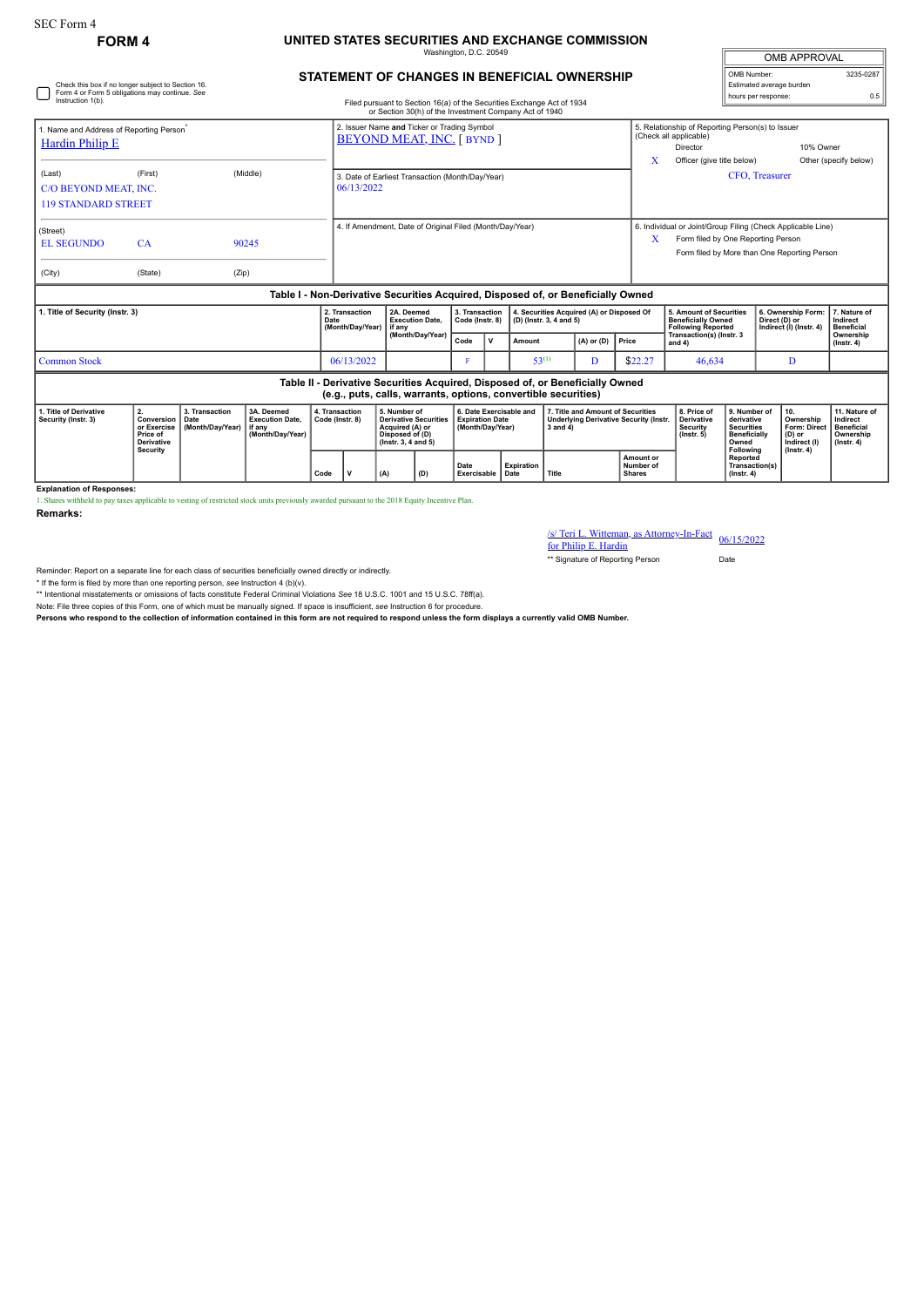Check this box if no longer subject to Section 16. Form 4 or Form 5 obligations may continue. *See*

## **FORM 4 UNITED STATES SECURITIES AND EXCHANGE COMMISSION** Washington, D.C. 20549

| <b>OMB APPROVAL</b>      |           |
|--------------------------|-----------|
| OMB Number:              | 3235-0287 |
| Estimated average burden |           |
| hours per response:      | 0.5       |

|  |  | STATEMENT OF CHANGES IN BENEFICIAL OWNERSHIP |
|--|--|----------------------------------------------|
|  |  |                                              |

| Instruction 1(b).                                                                                                                               |                                                                                            |                  |                                                                                  |                                                                                      |                                                                |                                                                                                           | Filed pursuant to Section 16(a) of the Securities Exchange Act of 1934<br>or Section 30(h) of the Investment Company Act of 1940 |      |                                                                                                               |            |                                                                                                                                                   |                                               |                                                                  |                                                               | <b>IDDIS DEL ICODUITOR</b>                                                      |                                                                   |                                                                                 |
|-------------------------------------------------------------------------------------------------------------------------------------------------|--------------------------------------------------------------------------------------------|------------------|----------------------------------------------------------------------------------|--------------------------------------------------------------------------------------|----------------------------------------------------------------|-----------------------------------------------------------------------------------------------------------|----------------------------------------------------------------------------------------------------------------------------------|------|---------------------------------------------------------------------------------------------------------------|------------|---------------------------------------------------------------------------------------------------------------------------------------------------|-----------------------------------------------|------------------------------------------------------------------|---------------------------------------------------------------|---------------------------------------------------------------------------------|-------------------------------------------------------------------|---------------------------------------------------------------------------------|
| 1. Name and Address of Reporting Person <sup>®</sup><br><b>Hardin Philip E</b>                                                                  |                                                                                            |                  |                                                                                  |                                                                                      |                                                                | 2. Issuer Name and Ticker or Trading Symbol<br><b>BEYOND MEAT, INC. [BYND]</b>                            |                                                                                                                                  |      |                                                                                                               |            |                                                                                                                                                   | X                                             | (Check all applicable)<br>Director<br>Officer (give title below) | 5. Relationship of Reporting Person(s) to Issuer<br>10% Owner |                                                                                 | Other (specify below)                                             |                                                                                 |
| (Last)<br>C/O BEYOND MEAT, INC.<br><b>119 STANDARD STREET</b>                                                                                   | (First)                                                                                    |                  | (Middle)                                                                         |                                                                                      | 3. Date of Earliest Transaction (Month/Day/Year)<br>06/13/2022 |                                                                                                           |                                                                                                                                  |      |                                                                                                               |            |                                                                                                                                                   |                                               | CFO, Treasurer                                                   |                                                               |                                                                                 |                                                                   |                                                                                 |
| (Street)<br><b>EL SEGUNDO</b><br>(City)                                                                                                         | CA<br>(State)                                                                              | (Zip)            | 90245                                                                            |                                                                                      | 4. If Amendment, Date of Original Filed (Month/Day/Year)       |                                                                                                           |                                                                                                                                  |      |                                                                                                               | X          | 6. Individual or Joint/Group Filing (Check Applicable Line)<br>Form filed by One Reporting Person<br>Form filed by More than One Reporting Person |                                               |                                                                  |                                                               |                                                                                 |                                                                   |                                                                                 |
|                                                                                                                                                 |                                                                                            |                  | Table I - Non-Derivative Securities Acquired, Disposed of, or Beneficially Owned |                                                                                      |                                                                |                                                                                                           |                                                                                                                                  |      |                                                                                                               |            |                                                                                                                                                   |                                               |                                                                  |                                                               |                                                                                 |                                                                   |                                                                                 |
| 1. Title of Security (Instr. 3)                                                                                                                 |                                                                                            |                  | Date                                                                             | 2. Transaction<br>2A. Deemed<br><b>Execution Date.</b><br>(Month/Day/Year)<br>if anv |                                                                | 3. Transaction<br>4. Securities Acquired (A) or Disposed Of<br>Code (Instr. 8)<br>(D) (Instr. 3, 4 and 5) |                                                                                                                                  |      | 5. Amount of Securities<br><b>Beneficially Owned</b><br><b>Following Reported</b><br>Transaction(s) (Instr. 3 |            | 6. Ownership Form:<br>Direct (D) or<br>Indirect (I) (Instr. 4)                                                                                    | 7. Nature of<br>Indirect<br><b>Beneficial</b> |                                                                  |                                                               |                                                                                 |                                                                   |                                                                                 |
|                                                                                                                                                 |                                                                                            |                  |                                                                                  |                                                                                      | (Month/Day/Year)                                               |                                                                                                           |                                                                                                                                  | Code | $\mathbf v$                                                                                                   | Amount     |                                                                                                                                                   | $(A)$ or $(D)$                                | Price                                                            | and 4)                                                        |                                                                                 |                                                                   | Ownership<br>$($ lnstr. 4 $)$                                                   |
| <b>Common Stock</b>                                                                                                                             |                                                                                            |                  |                                                                                  |                                                                                      | 06/13/2022                                                     |                                                                                                           |                                                                                                                                  |      |                                                                                                               | $53^{(1)}$ |                                                                                                                                                   | D                                             | \$22.27                                                          | 46.634                                                        |                                                                                 | D                                                                 |                                                                                 |
| Table II - Derivative Securities Acquired, Disposed of, or Beneficially Owned<br>(e.g., puts, calls, warrants, options, convertible securities) |                                                                                            |                  |                                                                                  |                                                                                      |                                                                |                                                                                                           |                                                                                                                                  |      |                                                                                                               |            |                                                                                                                                                   |                                               |                                                                  |                                                               |                                                                                 |                                                                   |                                                                                 |
| 1. Title of Derivative<br>Security (Instr. 3)                                                                                                   | 2.<br>3. Transaction<br>Conversion<br>Date<br>or Exercise<br>Price of<br><b>Derivative</b> | (Month/Day/Year) | 3A. Deemed<br><b>Execution Date,</b><br>if anv<br>(Month/Day/Year)               | 4. Transaction<br>Code (Instr. 8)                                                    |                                                                |                                                                                                           | 5. Number of<br><b>Derivative Securities</b><br>Acquired (A) or<br>Disposed of (D)<br>$($ lnstr. 3, 4 and 5 $)$                  |      | 6. Date Exercisable and<br><b>Expiration Date</b><br>(Month/Day/Year)                                         |            | 7. Title and Amount of Securities<br><b>Underlying Derivative Security (Instr.</b><br>$3$ and $4$ )                                               |                                               |                                                                  | 8. Price of<br>Derivative<br>Security<br>$($ lnstr. 5 $)$     | 9. Number of<br>derivative<br><b>Securities</b><br><b>Beneficially</b><br>Owned | 10.<br>Ownership<br><b>Form: Direct</b><br>(D) or<br>Indirect (I) | 11. Nature of<br>Indirect<br><b>Beneficial</b><br>Ownership<br>$($ lnstr. 4 $)$ |
|                                                                                                                                                 | <b>Security</b>                                                                            |                  |                                                                                  | Code                                                                                 | v                                                              | Expiration<br>Date<br>Exercisable<br>Date                                                                 |                                                                                                                                  |      | Title                                                                                                         |            | Amount or<br>Number of<br><b>Shares</b>                                                                                                           |                                               | Following<br>Reported<br>Transaction(s)<br>$($ lnstr. 4 $)$      | $($ Instr. 4 $)$                                              |                                                                                 |                                                                   |                                                                                 |

**Explanation of Responses:**

1. Shares withheld to pay taxes applicable to vesting of restricted stock units previously awarded pursuant to the 2018 Equity Incentive Plan.

**Remarks:**

/s/ Teri L. Witteman, as Attorney-In-Fact for Philip E. Hardin 06/15/2022

\*\* Signature of Reporting Person Date

Reminder: Report on a separate line for each class of securities beneficially owned directly or indirectly.

\* If the form is filed by more than one reporting person, *see* Instruction 4 (b)(v).

\*\* Intentional misstatements or omissions of facts constitute Federal Criminal Violations *See* 18 U.S.C. 1001 and 15 U.S.C. 78ff(a).

Note: File three copies of this Form, one of which must be manually signed. If space is insufficient, *see* Instruction 6 for procedure.

**Persons who respond to the collection of information contained in this form are not required to respond unless the form displays a currently valid OMB Number.**